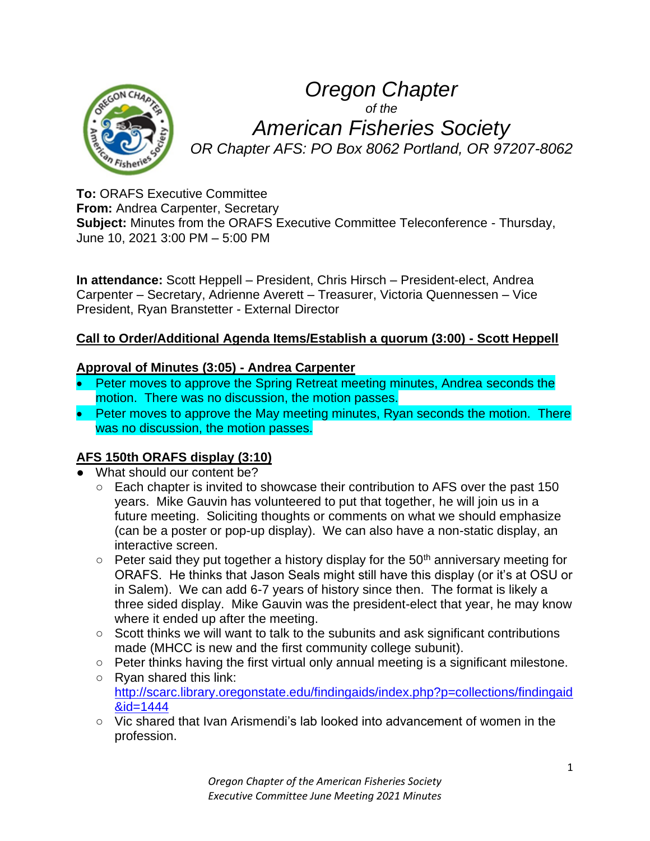

# *Oregon Chapter of the American Fisheries Society OR Chapter AFS: PO Box 8062 Portland, OR 97207-8062*

**To:** ORAFS Executive Committee **From:** Andrea Carpenter, Secretary **Subject:** Minutes from the ORAFS Executive Committee Teleconference - Thursday, June 10, 2021 3:00 PM – 5:00 PM

**In attendance:** Scott Heppell – President, Chris Hirsch – President-elect, Andrea Carpenter – Secretary, Adrienne Averett – Treasurer, Victoria Quennessen – Vice President, Ryan Branstetter - External Director

#### **Call to Order/Additional Agenda Items/Establish a quorum (3:00) - Scott Heppell**

#### **Approval of Minutes (3:05) - Andrea Carpenter**

- Peter moves to approve the Spring Retreat meeting minutes, Andrea seconds the motion. There was no discussion, the motion passes.
- Peter moves to approve the May meeting minutes, Ryan seconds the motion. There was no discussion, the motion passes.

#### **AFS 150th ORAFS display (3:10)**

- What should our content be?
	- Each chapter is invited to showcase their contribution to AFS over the past 150 years. Mike Gauvin has volunteered to put that together, he will join us in a future meeting. Soliciting thoughts or comments on what we should emphasize (can be a poster or pop-up display). We can also have a non-static display, an interactive screen.
	- $\circ$  Peter said they put together a history display for the 50<sup>th</sup> anniversary meeting for ORAFS. He thinks that Jason Seals might still have this display (or it's at OSU or in Salem). We can add 6-7 years of history since then. The format is likely a three sided display. Mike Gauvin was the president-elect that year, he may know where it ended up after the meeting.
	- Scott thinks we will want to talk to the subunits and ask significant contributions made (MHCC is new and the first community college subunit).
	- Peter thinks having the first virtual only annual meeting is a significant milestone.
	- Ryan shared this link: [http://scarc.library.oregonstate.edu/findingaids/index.php?p=collections/findingaid](http://scarc.library.oregonstate.edu/findingaids/index.php?p=collections/findingaid&id=1444) [&id=1444](http://scarc.library.oregonstate.edu/findingaids/index.php?p=collections/findingaid&id=1444)
	- Vic shared that Ivan Arismendi's lab looked into advancement of women in the profession.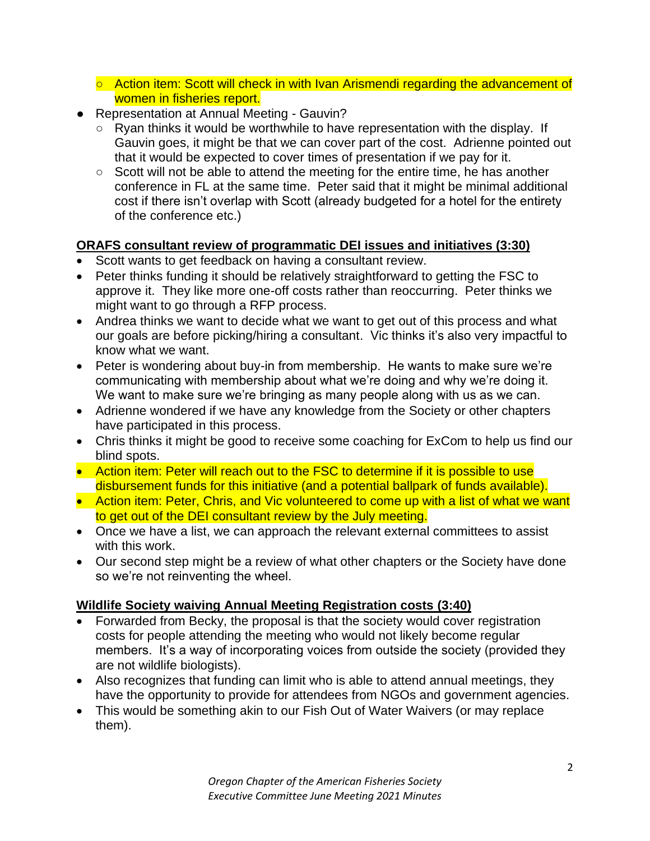- Action item: Scott will check in with Ivan Arismendi regarding the advancement of women in fisheries report.
- Representation at Annual Meeting Gauvin?
	- Ryan thinks it would be worthwhile to have representation with the display. If Gauvin goes, it might be that we can cover part of the cost. Adrienne pointed out that it would be expected to cover times of presentation if we pay for it.
	- Scott will not be able to attend the meeting for the entire time, he has another conference in FL at the same time. Peter said that it might be minimal additional cost if there isn't overlap with Scott (already budgeted for a hotel for the entirety of the conference etc.)

## **ORAFS consultant review of programmatic DEI issues and initiatives (3:30)**

- Scott wants to get feedback on having a consultant review.
- Peter thinks funding it should be relatively straightforward to getting the FSC to approve it. They like more one-off costs rather than reoccurring. Peter thinks we might want to go through a RFP process.
- Andrea thinks we want to decide what we want to get out of this process and what our goals are before picking/hiring a consultant. Vic thinks it's also very impactful to know what we want.
- Peter is wondering about buy-in from membership. He wants to make sure we're communicating with membership about what we're doing and why we're doing it. We want to make sure we're bringing as many people along with us as we can.
- Adrienne wondered if we have any knowledge from the Society or other chapters have participated in this process.
- Chris thinks it might be good to receive some coaching for ExCom to help us find our blind spots.
- Action item: Peter will reach out to the FSC to determine if it is possible to use disbursement funds for this initiative (and a potential ballpark of funds available).
- Action item: Peter, Chris, and Vic volunteered to come up with a list of what we want to get out of the DEI consultant review by the July meeting.
- Once we have a list, we can approach the relevant external committees to assist with this work.
- Our second step might be a review of what other chapters or the Society have done so we're not reinventing the wheel.

## **Wildlife Society waiving Annual Meeting Registration costs (3:40)**

- Forwarded from Becky, the proposal is that the society would cover registration costs for people attending the meeting who would not likely become regular members. It's a way of incorporating voices from outside the society (provided they are not wildlife biologists).
- Also recognizes that funding can limit who is able to attend annual meetings, they have the opportunity to provide for attendees from NGOs and government agencies.
- This would be something akin to our Fish Out of Water Waivers (or may replace them).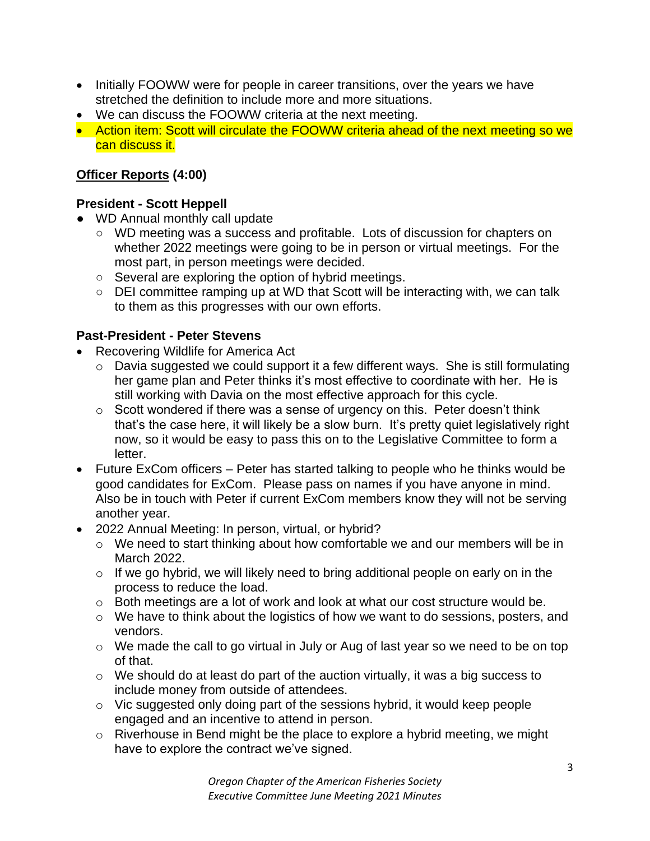- Initially FOOWW were for people in career transitions, over the years we have stretched the definition to include more and more situations.
- We can discuss the FOOWW criteria at the next meeting.
- Action item: Scott will circulate the FOOWW criteria ahead of the next meeting so we can discuss it.

#### **Officer Reports (4:00)**

#### **President - Scott Heppell**

- WD Annual monthly call update
	- WD meeting was a success and profitable. Lots of discussion for chapters on whether 2022 meetings were going to be in person or virtual meetings. For the most part, in person meetings were decided.
	- Several are exploring the option of hybrid meetings.
	- DEI committee ramping up at WD that Scott will be interacting with, we can talk to them as this progresses with our own efforts.

#### **Past-President - Peter Stevens**

- Recovering Wildlife for America Act
	- o Davia suggested we could support it a few different ways. She is still formulating her game plan and Peter thinks it's most effective to coordinate with her. He is still working with Davia on the most effective approach for this cycle.
	- o Scott wondered if there was a sense of urgency on this. Peter doesn't think that's the case here, it will likely be a slow burn. It's pretty quiet legislatively right now, so it would be easy to pass this on to the Legislative Committee to form a letter.
- Future ExCom officers Peter has started talking to people who he thinks would be good candidates for ExCom. Please pass on names if you have anyone in mind. Also be in touch with Peter if current ExCom members know they will not be serving another year.
- 2022 Annual Meeting: In person, virtual, or hybrid?
	- o We need to start thinking about how comfortable we and our members will be in March 2022.
	- $\circ$  If we go hybrid, we will likely need to bring additional people on early on in the process to reduce the load.
	- o Both meetings are a lot of work and look at what our cost structure would be.
	- o We have to think about the logistics of how we want to do sessions, posters, and vendors.
	- o We made the call to go virtual in July or Aug of last year so we need to be on top of that.
	- o We should do at least do part of the auction virtually, it was a big success to include money from outside of attendees.
	- o Vic suggested only doing part of the sessions hybrid, it would keep people engaged and an incentive to attend in person.
	- o Riverhouse in Bend might be the place to explore a hybrid meeting, we might have to explore the contract we've signed.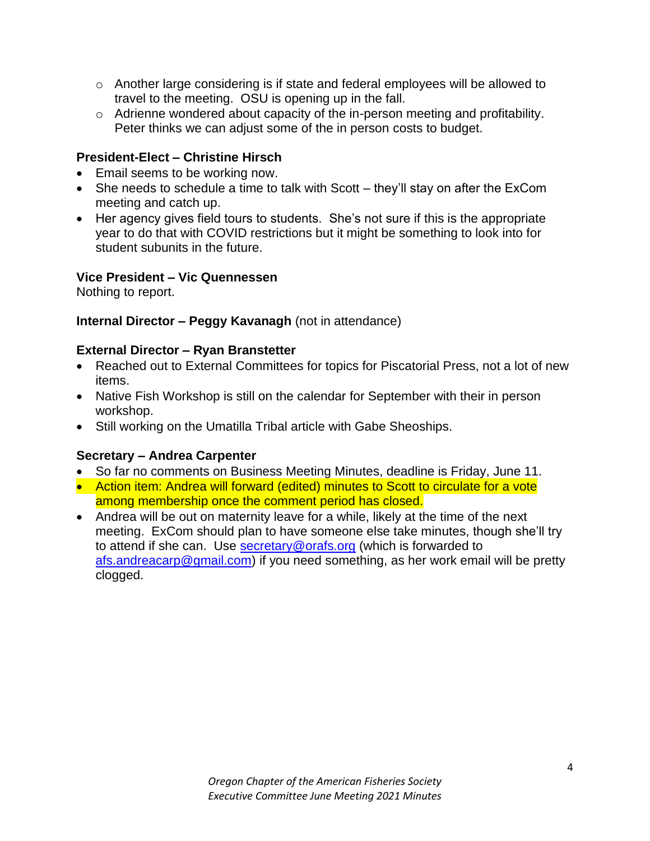- $\circ$  Another large considering is if state and federal employees will be allowed to travel to the meeting. OSU is opening up in the fall.
- o Adrienne wondered about capacity of the in-person meeting and profitability. Peter thinks we can adjust some of the in person costs to budget.

#### **President-Elect – Christine Hirsch**

- Email seems to be working now.
- She needs to schedule a time to talk with Scott they'll stay on after the ExCom meeting and catch up.
- Her agency gives field tours to students. She's not sure if this is the appropriate year to do that with COVID restrictions but it might be something to look into for student subunits in the future.

#### **Vice President – Vic Quennessen**

Nothing to report.

#### **Internal Director – Peggy Kavanagh** (not in attendance)

#### **External Director – Ryan Branstetter**

- Reached out to External Committees for topics for Piscatorial Press, not a lot of new items.
- Native Fish Workshop is still on the calendar for September with their in person workshop.
- Still working on the Umatilla Tribal article with Gabe Sheoships.

## **Secretary – Andrea Carpenter**

- So far no comments on Business Meeting Minutes, deadline is Friday, June 11.
- Action item: Andrea will forward (edited) minutes to Scott to circulate for a vote among membership once the comment period has closed.
- Andrea will be out on maternity leave for a while, likely at the time of the next meeting. ExCom should plan to have someone else take minutes, though she'll try to attend if she can. Use **secretary@orafs.org** (which is forwarded to [afs.andreacarp@gmail.com\)](mailto:afs.andreacarp@gmail.com) if you need something, as her work email will be pretty clogged.